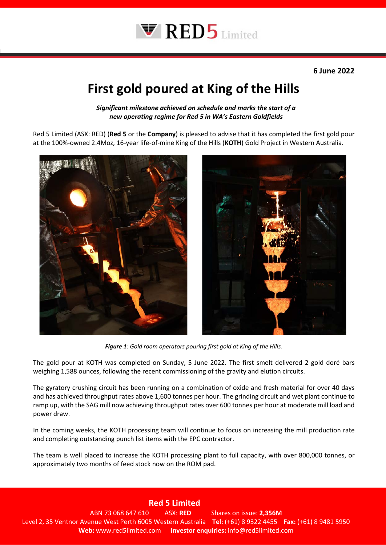

## **First gold poured at King of the Hills**

*Significant milestone achieved on schedule and marks the start of a new operating regime for Red 5 in WA's Eastern Goldfields*

Red 5 Limited (ASX: RED) (**Red 5** or the **Company**) is pleased to advise that it has completed the first gold pour at the 100%-owned 2.4Moz, 16-year life-of-mine King of the Hills (**KOTH**) Gold Project in Western Australia.



*Figure 1: Gold room operators pouring first gold at King of the Hills.*

The gold pour at KOTH was completed on Sunday, 5 June 2022. The first smelt delivered 2 gold doré bars weighing 1,588 ounces, following the recent commissioning of the gravity and elution circuits.

The gyratory crushing circuit has been running on a combination of oxide and fresh material for over 40 days and has achieved throughput rates above 1,600 tonnes per hour. The grinding circuit and wet plant continue to ramp up, with the SAG mill now achieving throughput rates over 600 tonnes per hour at moderate mill load and power draw.

In the coming weeks, the KOTH processing team will continue to focus on increasing the mill production rate and completing outstanding punch list items with the EPC contractor.

The team is well placed to increase the KOTH processing plant to full capacity, with over 800,000 tonnes, or approximately two months of feed stock now on the ROM pad.

**Red 5 Limited**

**Error Web:** www.red5limited.com **Investor enquiries:** info@red5limited.com ABN 73 068 647 610 ASX: **RED** Shares on issue: **2,356M** Level 2, 35 Ventnor Avenue West Perth 6005 Western Australia **Tel:** (+61) 8 9322 4455 **Fax:** (+61) 8 9481 5950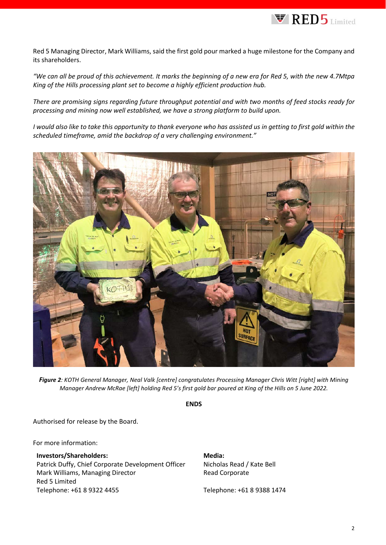

Red 5 Managing Director, Mark Williams, said the first gold pour marked a huge milestone for the Company and its shareholders.

*"We can all be proud of this achievement. It marks the beginning of a new era for Red 5, with the new 4.7Mtpa King of the Hills processing plant set to become a highly efficient production hub.*

*There are promising signs regarding future throughput potential and with two months of feed stocks ready for processing and mining now well established, we have a strong platform to build upon.*

*I would also like to take this opportunity to thank everyone who has assisted us in getting to first gold within the scheduled timeframe, amid the backdrop of a very challenging environment."*



*Figure 2: KOTH General Manager, Neal Valk [centre] congratulates Processing Manager Chris Witt [right] with Mining Manager Andrew McRae [left] holding Red 5's first gold bar poured at King of the Hills on 5 June 2022.*

**ENDS**

Authorised for release by the Board.

For more information:

## **Investors/Shareholders:**

Patrick Duffy, Chief Corporate Development Officer Mark Williams, Managing Director Red 5 Limited Telephone: +61 8 9322 4455

## **Media:**

Nicholas Read / Kate Bell Read Corporate

Telephone: +61 8 9388 1474